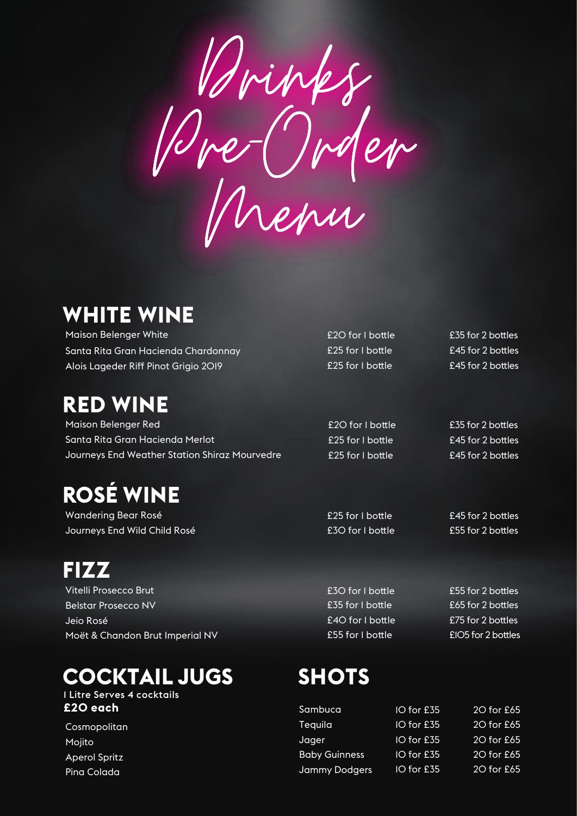Min Pre-Order Menu

#### **WHITE WINE**

Maison Belenger White Santa Rita Gran Hacienda Chardonnay Alois Lageder Riff Pinot Grigio 2019

#### **RED WINE**

Maison Belenger Red Santa Rita Gran Hacienda Merlot Journeys End Weather Station Shiraz Mourvedre

# **ROSÉ WINE**

Wandering Bear Rosé Journeys End Wild Child Rosé

**FIZZ** Vitelli Prosecco Brut Belstar Prosecco NV Jeio Rosé Moët & Chandon Brut Imperial NV

#### **COCKTAIL JUGS**

#### 1 Litre Serves 4 cocktails **£20 each**

Cosmopolitan Mojito Aperol Spritz Pina Colada

£20 for I bottle **£35** for 2 bottles £25 for I bottle **£45** for 2 bottles £25 for I bottle **£45** for 2 bottles

£20 for 1 bottle **£35** for 2 bottles £25 for I bottle **E45** for 2 bottles £25 for I bottle **£45** for 2 bottles

£25 for I bottle **£45** for 2 bottles £30 for I bottle **£55** for 2 bottles

 $£35$  for I bottle £30 for I bottle £40 for I bottle **£75** for 2 bottles £55 for 1 bottle £105 for 2 bottles

£55 for 2 bottles £65 for 2 bottles

### **SHOTS**

| $IO$ for $£35$ | 20 for £65 |
|----------------|------------|
| $IO$ for $£35$ | 20 for £65 |
| $IO$ for $£35$ | 20 for £65 |
| $IO$ for £35   | 20 for £65 |
| $IO$ for £35   | 20 for £65 |
|                |            |